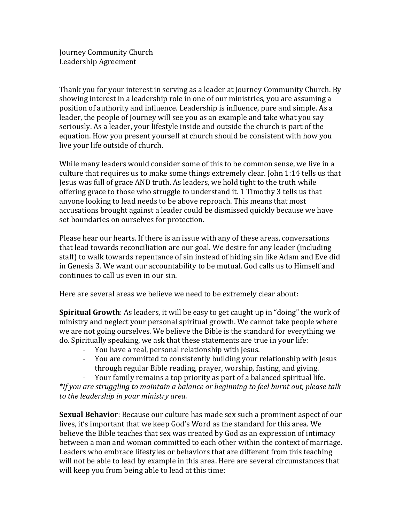Journey Community Church Leadership Agreement

Thank you for your interest in serving as a leader at Journey Community Church. By showing interest in a leadership role in one of our ministries, you are assuming a position of authority and influence. Leadership is influence, pure and simple. As a leader, the people of Journey will see you as an example and take what you say seriously. As a leader, your lifestyle inside and outside the church is part of the equation. How you present yourself at church should be consistent with how you live your life outside of church.

While many leaders would consider some of this to be common sense, we live in a culture that requires us to make some things extremely clear. John  $1:14$  tells us that Jesus was full of grace AND truth. As leaders, we hold tight to the truth while offering grace to those who struggle to understand it. 1 Timothy 3 tells us that anyone looking to lead needs to be above reproach. This means that most accusations brought against a leader could be dismissed quickly because we have set boundaries on ourselves for protection.

Please hear our hearts. If there is an issue with any of these areas, conversations that lead towards reconciliation are our goal. We desire for any leader (including staff) to walk towards repentance of sin instead of hiding sin like Adam and Eve did in Genesis 3. We want our accountability to be mutual. God calls us to Himself and continues to call us even in our sin.

Here are several areas we believe we need to be extremely clear about:

**Spiritual Growth**: As leaders, it will be easy to get caught up in "doing" the work of ministry and neglect your personal spiritual growth. We cannot take people where we are not going ourselves. We believe the Bible is the standard for everything we do. Spiritually speaking, we ask that these statements are true in your life:

- You have a real, personal relationship with Jesus.
- You are committed to consistently building your relationship with Jesus through regular Bible reading, prayer, worship, fasting, and giving.
- Your family remains a top priority as part of a balanced spiritual life.

\*If you are struggling to maintain a balance or beginning to feel burnt out, please talk *to the leadership in your ministry area.*

**Sexual Behavior**: Because our culture has made sex such a prominent aspect of our lives, it's important that we keep God's Word as the standard for this area. We believe the Bible teaches that sex was created by God as an expression of intimacy between a man and woman committed to each other within the context of marriage. Leaders who embrace lifestyles or behaviors that are different from this teaching will not be able to lead by example in this area. Here are several circumstances that will keep you from being able to lead at this time: